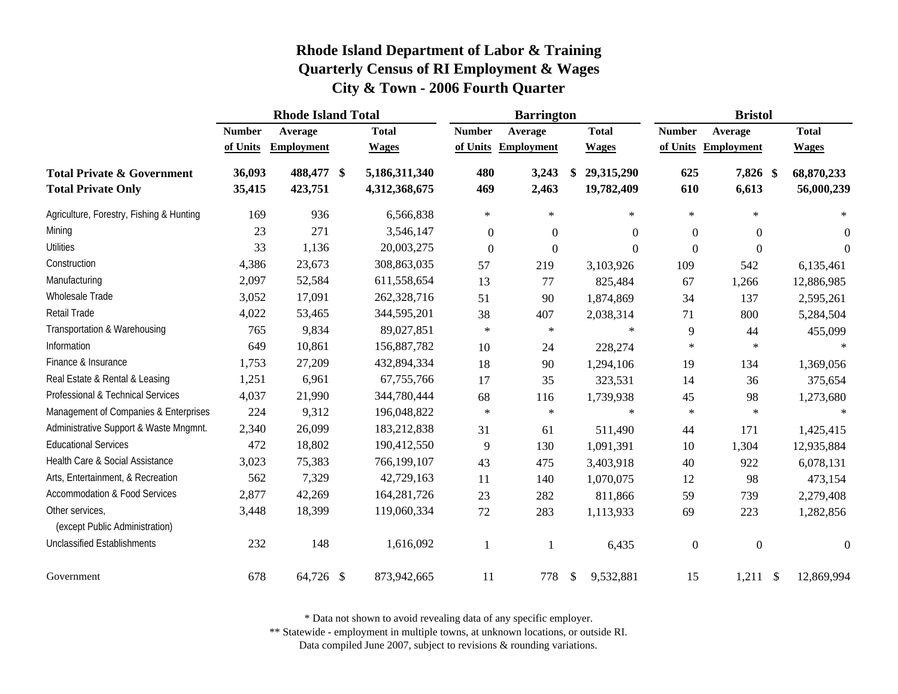|                                                                    | <b>Rhode Island Total</b> |                       |  |                                | <b>Barrington</b> |                   |               |                          | <b>Bristol</b>   |                   |               |                          |
|--------------------------------------------------------------------|---------------------------|-----------------------|--|--------------------------------|-------------------|-------------------|---------------|--------------------------|------------------|-------------------|---------------|--------------------------|
|                                                                    | <b>Number</b>             | Average               |  | <b>Total</b>                   | <b>Number</b>     | Average           |               | <b>Total</b>             | <b>Number</b>    | Average           |               | <b>Total</b>             |
|                                                                    | of Units                  | <b>Employment</b>     |  | <b>Wages</b>                   | of Units          | <b>Employment</b> |               | <b>Wages</b>             | of Units         | <b>Employment</b> |               | <b>Wages</b>             |
| <b>Total Private &amp; Government</b><br><b>Total Private Only</b> | 36,093<br>35,415          | 488,477 \$<br>423,751 |  | 5,186,311,340<br>4,312,368,675 | 480<br>469        | 3,243<br>2,463    | \$            | 29,315,290<br>19,782,409 | 625<br>610       | 7,826 \$<br>6,613 |               | 68,870,233<br>56,000,239 |
| Agriculture, Forestry, Fishing & Hunting                           | 169                       | 936                   |  | 6,566,838                      | $\ast$            | $\ast$            |               | $\ast$                   | $\ast$           | $\ast$            |               | $\ast$                   |
| Mining                                                             | 23                        | 271                   |  | 3,546,147                      | $\boldsymbol{0}$  | $\overline{0}$    |               | $\Omega$                 | $\boldsymbol{0}$ | $\overline{0}$    |               | $\mathbf{0}$             |
| <b>Utilities</b>                                                   | 33                        | 1,136                 |  | 20,003,275                     | $\boldsymbol{0}$  | $\boldsymbol{0}$  |               | $\mathbf{0}$             | $\mathbf{0}$     | $\mathbf{0}$      |               | $\theta$                 |
| Construction                                                       | 4,386                     | 23,673                |  | 308,863,035                    | 57                | 219               |               | 3,103,926                | 109              | 542               |               | 6,135,461                |
| Manufacturing                                                      | 2,097                     | 52,584                |  | 611,558,654                    | 13                | 77                |               | 825,484                  | 67               | 1,266             |               | 12,886,985               |
| Wholesale Trade                                                    | 3,052                     | 17,091                |  | 262,328,716                    | 51                | 90                |               | 1,874,869                | 34               | 137               |               | 2,595,261                |
| Retail Trade                                                       | 4,022                     | 53,465                |  | 344,595,201                    | 38                | 407               |               | 2,038,314                | 71               | 800               |               | 5,284,504                |
| Transportation & Warehousing                                       | 765                       | 9,834                 |  | 89,027,851                     | $\ast$            | $\ast$            |               | $\star$                  | 9                | 44                |               | 455,099                  |
| Information                                                        | 649                       | 10,861                |  | 156,887,782                    | 10                | 24                |               | 228,274                  | $\ast$           | $\ast$            |               |                          |
| Finance & Insurance                                                | 1,753                     | 27,209                |  | 432,894,334                    | 18                | 90                |               | 1,294,106                | 19               | 134               |               | 1,369,056                |
| Real Estate & Rental & Leasing                                     | 1,251                     | 6,961                 |  | 67,755,766                     | 17                | 35                |               | 323,531                  | 14               | 36                |               | 375,654                  |
| Professional & Technical Services                                  | 4,037                     | 21,990                |  | 344,780,444                    | 68                | 116               |               | 1,739,938                | 45               | 98                |               | 1,273,680                |
| Management of Companies & Enterprises                              | 224                       | 9,312                 |  | 196,048,822                    | $\star$           | $\ast$            |               | $\star$                  | $\ast$           | $\ast$            |               | $\ast$                   |
| Administrative Support & Waste Mngmnt.                             | 2,340                     | 26,099                |  | 183,212,838                    | 31                | 61                |               | 511,490                  | 44               | 171               |               | 1,425,415                |
| <b>Educational Services</b>                                        | 472                       | 18,802                |  | 190,412,550                    | 9                 | 130               |               | 1,091,391                | 10               | 1,304             |               | 12,935,884               |
| Health Care & Social Assistance                                    | 3,023                     | 75,383                |  | 766,199,107                    | 43                | 475               |               | 3,403,918                | 40               | 922               |               | 6,078,131                |
| Arts, Entertainment, & Recreation                                  | 562                       | 7,329                 |  | 42,729,163                     | 11                | 140               |               | 1,070,075                | 12               | 98                |               | 473,154                  |
| <b>Accommodation &amp; Food Services</b>                           | 2,877                     | 42,269                |  | 164,281,726                    | 23                | 282               |               | 811,866                  | 59               | 739               |               | 2,279,408                |
| Other services,<br>(except Public Administration)                  | 3,448                     | 18,399                |  | 119,060,334                    | $72\,$            | 283               |               | 1,113,933                | 69               | 223               |               | 1,282,856                |
| <b>Unclassified Establishments</b>                                 | 232                       | 148                   |  | 1,616,092                      | 1                 |                   |               | 6,435                    | $\boldsymbol{0}$ | $\boldsymbol{0}$  |               | $\mathbf{0}$             |
| Government                                                         | 678                       | 64,726 \$             |  | 873,942,665                    | 11                | 778               | $\frac{1}{2}$ | 9,532,881                | 15               | 1,211             | $\mathcal{S}$ | 12,869,994               |

\* Data not shown to avoid revealing data of any specific employer.

\*\* Statewide - employment in multiple towns, at unknown locations, or outside RI.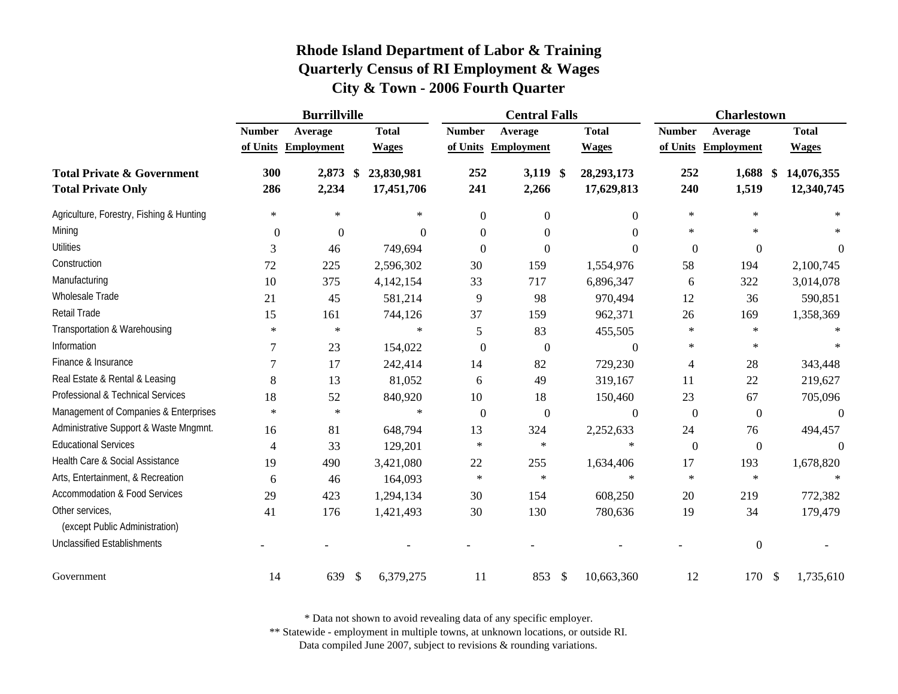|                                                                    | <b>Burrillville</b> |                     |               |                          | <b>Central Falls</b> |                     |                           |                            | <b>Charlestown</b> |                     |  |                          |
|--------------------------------------------------------------------|---------------------|---------------------|---------------|--------------------------|----------------------|---------------------|---------------------------|----------------------------|--------------------|---------------------|--|--------------------------|
|                                                                    | <b>Number</b>       | Average             |               | <b>Total</b>             | <b>Number</b>        | Average             |                           | <b>Total</b>               | <b>Number</b>      | Average             |  | <b>Total</b>             |
|                                                                    |                     | of Units Employment |               | <b>Wages</b>             |                      | of Units Employment |                           | <b>Wages</b>               | of Units           | <b>Employment</b>   |  | <b>Wages</b>             |
| <b>Total Private &amp; Government</b><br><b>Total Private Only</b> | 300<br>286          | 2,873 \$<br>2,234   |               | 23,830,981<br>17,451,706 | 252<br>241           | $3,119$ \$<br>2,266 |                           | 28, 293, 173<br>17,629,813 | 252<br>240         | $1,688$ \$<br>1,519 |  | 14,076,355<br>12,340,745 |
| Agriculture, Forestry, Fishing & Hunting                           | $\ast$              | $\ast$              |               | $\ast$                   | $\boldsymbol{0}$     | $\boldsymbol{0}$    |                           | $\Omega$                   | $\ast$             | $\ast$              |  |                          |
| Mining                                                             | $\boldsymbol{0}$    | $\mathbf{0}$        |               | $\theta$                 | $\Omega$             | $\theta$            |                           | 0                          | $\ast$             | $\star$             |  |                          |
| <b>Utilities</b>                                                   | 3                   | 46                  |               | 749,694                  | $\theta$             | $\boldsymbol{0}$    |                           | $\Omega$                   | $\overline{0}$     | $\overline{0}$      |  | $\theta$                 |
| Construction                                                       | 72                  | 225                 |               | 2,596,302                | 30                   | 159                 |                           | 1,554,976                  | 58                 | 194                 |  | 2,100,745                |
| Manufacturing                                                      | 10                  | 375                 |               | 4,142,154                | 33                   | 717                 |                           | 6,896,347                  | 6                  | 322                 |  | 3,014,078                |
| Wholesale Trade                                                    | 21                  | 45                  |               | 581,214                  | 9                    | 98                  |                           | 970,494                    | 12                 | 36                  |  | 590,851                  |
| Retail Trade                                                       | 15                  | 161                 |               | 744,126                  | 37                   | 159                 |                           | 962,371                    | 26                 | 169                 |  | 1,358,369                |
| Transportation & Warehousing                                       | $\ast$              | $\star$             |               | $\ast$                   | $\mathfrak{S}$       | 83                  |                           | 455,505                    | $\ast$             | $\star$             |  |                          |
| Information                                                        |                     | 23                  |               | 154,022                  | $\boldsymbol{0}$     | $\boldsymbol{0}$    |                           | $\theta$                   | $\ast$             | $\ast$              |  |                          |
| Finance & Insurance                                                |                     | 17                  |               | 242,414                  | 14                   | 82                  |                           | 729,230                    | 4                  | 28                  |  | 343,448                  |
| Real Estate & Rental & Leasing                                     | 8                   | 13                  |               | 81,052                   | 6                    | 49                  |                           | 319,167                    | 11                 | 22                  |  | 219,627                  |
| Professional & Technical Services                                  | 18                  | 52                  |               | 840,920                  | 10                   | 18                  |                           | 150,460                    | 23                 | 67                  |  | 705,096                  |
| Management of Companies & Enterprises                              | $\ast$              | $\ast$              |               | $\ast$                   | $\boldsymbol{0}$     | $\boldsymbol{0}$    |                           | $\mathbf{0}$               | $\overline{0}$     | $\boldsymbol{0}$    |  | $\theta$                 |
| Administrative Support & Waste Mngmnt.                             | 16                  | 81                  |               | 648,794                  | 13                   | 324                 |                           | 2,252,633                  | 24                 | 76                  |  | 494,457                  |
| <b>Educational Services</b>                                        | 4                   | 33                  |               | 129,201                  | $\ast$               | $\ast$              |                           | $\ast$                     | $\boldsymbol{0}$   | $\boldsymbol{0}$    |  | $\Omega$                 |
| Health Care & Social Assistance                                    | 19                  | 490                 |               | 3,421,080                | 22                   | 255                 |                           | 1,634,406                  | 17                 | 193                 |  | 1,678,820                |
| Arts, Entertainment, & Recreation                                  | 6                   | 46                  |               | 164,093                  | $\ast$               | $\ast$              |                           | $\ast$                     | $\ast$             | $\ast$              |  |                          |
| <b>Accommodation &amp; Food Services</b>                           | 29                  | 423                 |               | 1,294,134                | 30                   | 154                 |                           | 608,250                    | 20                 | 219                 |  | 772,382                  |
| Other services,<br>(except Public Administration)                  | 41                  | 176                 |               | 1,421,493                | 30                   | 130                 |                           | 780,636                    | 19                 | 34                  |  | 179,479                  |
| <b>Unclassified Establishments</b>                                 |                     |                     |               |                          |                      |                     |                           |                            |                    | $\boldsymbol{0}$    |  |                          |
| Government                                                         | 14                  | 639                 | <sup>\$</sup> | 6,379,275                | 11                   | 853                 | $\boldsymbol{\mathsf{S}}$ | 10,663,360                 | 12                 | 170 \$              |  | 1,735,610                |

\* Data not shown to avoid revealing data of any specific employer.

\*\* Statewide - employment in multiple towns, at unknown locations, or outside RI.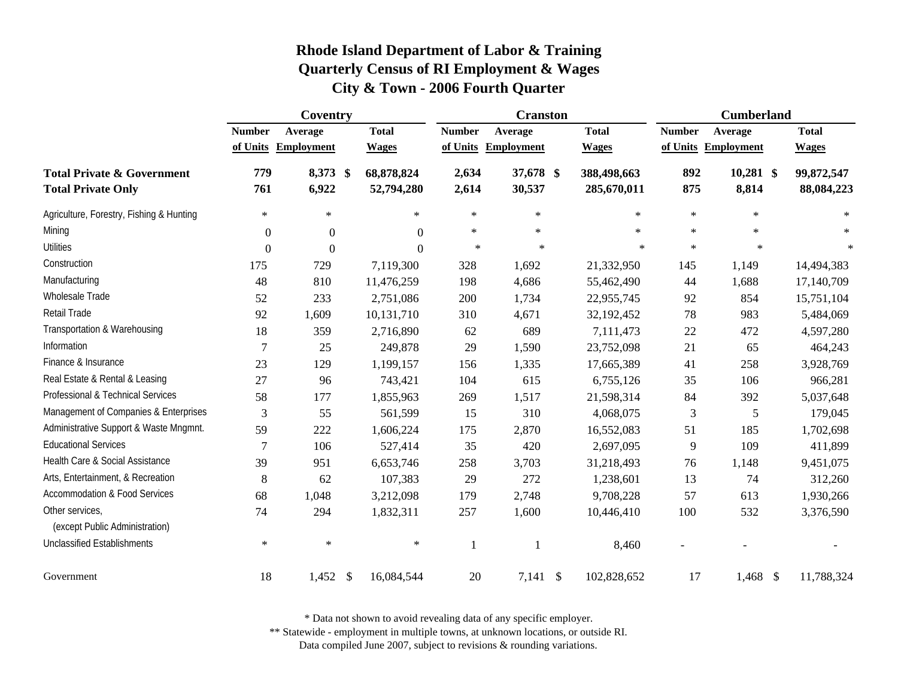|                                                                    |                  | Coventry          | <b>Cranston</b>             |                |                     |               | <b>Cumberland</b>          |                |                      |                          |
|--------------------------------------------------------------------|------------------|-------------------|-----------------------------|----------------|---------------------|---------------|----------------------------|----------------|----------------------|--------------------------|
|                                                                    | <b>Number</b>    | Average           | <b>Total</b>                | <b>Number</b>  | Average             |               | <b>Total</b>               | <b>Number</b>  | Average              | <b>Total</b>             |
|                                                                    | of Units         | <b>Employment</b> | <b>Wages</b>                | of Units       | <b>Employment</b>   |               | <b>Wages</b>               |                | of Units Employment  | <b>Wages</b>             |
| <b>Total Private &amp; Government</b><br><b>Total Private Only</b> | 779<br>761       | 8,373 \$<br>6,922 | 68,878,824<br>52,794,280    | 2,634<br>2,614 | 37,678 \$<br>30,537 |               | 388,498,663<br>285,670,011 | 892<br>875     | $10,281$ \$<br>8,814 | 99,872,547<br>88,084,223 |
| Agriculture, Forestry, Fishing & Hunting                           | $\ast$           | $\ast$            | $\ast$                      | $\ast$         | $\ast$              |               | $\ast$                     | $\ast$         | $\ast$               | $\ast$                   |
| Mining                                                             | $\overline{0}$   | $\mathbf{0}$      | $\Omega$                    | $\ast$         | $\ast$              |               | $\ast$                     | $\ast$         | $\ast$               | $\star$                  |
| <b>Utilities</b>                                                   | $\boldsymbol{0}$ | $\boldsymbol{0}$  | $\Omega$                    | $\ast$         | $\ast$              |               | $\star$                    | $\ast$         | $\ast$               | $\ast$                   |
| Construction                                                       | 175              | 729               | 7,119,300                   | 328            | 1,692               |               | 21,332,950                 | 145            | 1,149                | 14,494,383               |
| Manufacturing                                                      | 48               | 810               | 11,476,259                  | 198            | 4,686               |               | 55,462,490                 | 44             | 1,688                | 17,140,709               |
| Wholesale Trade                                                    | 52               | 233               | 2,751,086                   | 200            | 1,734               |               | 22,955,745                 | 92             | 854                  | 15,751,104               |
| Retail Trade                                                       | 92               | 1,609             | 10,131,710                  | 310            | 4,671               |               | 32,192,452                 | 78             | 983                  | 5,484,069                |
| Transportation & Warehousing                                       | 18               | 359               | 2,716,890                   | 62             | 689                 |               | 7,111,473                  | $22\,$         | 472                  | 4,597,280                |
| Information                                                        | 7                | 25                | 249,878                     | 29             | 1,590               |               | 23,752,098                 | 21             | 65                   | 464,243                  |
| Finance & Insurance                                                | 23               | 129               | 1,199,157                   | 156            | 1,335               |               | 17,665,389                 | 41             | 258                  | 3,928,769                |
| Real Estate & Rental & Leasing                                     | 27               | 96                | 743,421                     | 104            | 615                 |               | 6,755,126                  | 35             | 106                  | 966,281                  |
| Professional & Technical Services                                  | 58               | 177               | 1,855,963                   | 269            | 1,517               |               | 21,598,314                 | 84             | 392                  | 5,037,648                |
| Management of Companies & Enterprises                              | $\mathfrak{Z}$   | 55                | 561,599                     | 15             | 310                 |               | 4,068,075                  | $\mathfrak{Z}$ | 5                    | 179,045                  |
| Administrative Support & Waste Mngmnt.                             | 59               | 222               | 1,606,224                   | 175            | 2,870               |               | 16,552,083                 | 51             | 185                  | 1,702,698                |
| <b>Educational Services</b>                                        | $\overline{7}$   | 106               | 527,414                     | 35             | 420                 |               | 2,697,095                  | 9              | 109                  | 411,899                  |
| Health Care & Social Assistance                                    | 39               | 951               | 6,653,746                   | 258            | 3,703               |               | 31,218,493                 | 76             | 1,148                | 9,451,075                |
| Arts, Entertainment, & Recreation                                  | $\,8\,$          | 62                | 107,383                     | 29             | 272                 |               | 1,238,601                  | 13             | 74                   | 312,260                  |
| <b>Accommodation &amp; Food Services</b>                           | 68               | 1,048             | 3,212,098                   | 179            | 2,748               |               | 9,708,228                  | 57             | 613                  | 1,930,266                |
| Other services,<br>(except Public Administration)                  | 74               | 294               | 1,832,311                   | 257            | 1,600               |               | 10,446,410                 | 100            | 532                  | 3,376,590                |
| <b>Unclassified Establishments</b>                                 | $\ast$           | $\ast$            | $\ast$                      | 1              | 1                   |               | 8,460                      |                |                      |                          |
| Government                                                         | 18               | 1,452             | $\mathcal{S}$<br>16,084,544 | 20             | 7,141               | $\mathcal{S}$ | 102,828,652                | 17             | $1,468$ \$           | 11,788,324               |

\* Data not shown to avoid revealing data of any specific employer.

\*\* Statewide - employment in multiple towns, at unknown locations, or outside RI.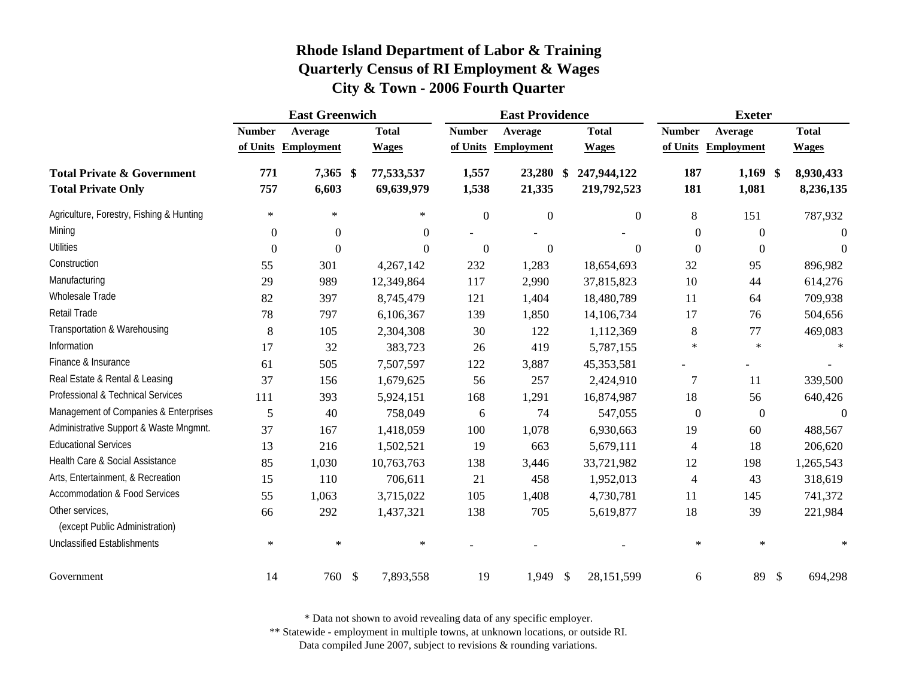|                                                                    | <b>East Greenwich</b> |                   |                            |                | <b>East Providence</b> |                                    | <b>Exeter</b>    |                     |                                      |  |
|--------------------------------------------------------------------|-----------------------|-------------------|----------------------------|----------------|------------------------|------------------------------------|------------------|---------------------|--------------------------------------|--|
|                                                                    | <b>Number</b>         | Average           | <b>Total</b>               | <b>Number</b>  | Average                | <b>Total</b>                       | <b>Number</b>    | Average             | <b>Total</b>                         |  |
|                                                                    | of Units              | <b>Employment</b> | <b>Wages</b>               | of Units       | <b>Employment</b>      | <b>Wages</b>                       | of Units         | <b>Employment</b>   | <b>Wages</b>                         |  |
| <b>Total Private &amp; Government</b><br><b>Total Private Only</b> | 771<br>757            | 7,365 \$<br>6,603 | 77,533,537<br>69,639,979   | 1,557<br>1,538 | 23,280<br>21,335       | 247,944,122<br>- \$<br>219,792,523 | 187<br>181       | $1,169$ \$<br>1,081 | 8,930,433<br>8,236,135               |  |
| Agriculture, Forestry, Fishing & Hunting                           | $\ast$                | $\ast$            | $\ast$                     | $\overline{0}$ | $\overline{0}$         | $\overline{0}$                     | 8                | 151                 | 787,932                              |  |
| Mining                                                             | $\mathbf{0}$          | $\boldsymbol{0}$  | $\overline{0}$             |                |                        |                                    | $\mathbf{0}$     | $\boldsymbol{0}$    | 0                                    |  |
| <b>Utilities</b>                                                   | $\theta$              | $\theta$          | $\Omega$                   | $\overline{0}$ | $\theta$               | $\theta$                           | $\boldsymbol{0}$ | $\overline{0}$      | $\Omega$                             |  |
| Construction                                                       | 55                    | 301               | 4,267,142                  | 232            | 1,283                  | 18,654,693                         | 32               | 95                  | 896,982                              |  |
| Manufacturing                                                      | 29                    | 989               | 12,349,864                 | 117            | 2,990                  | 37,815,823                         | 10               | 44                  | 614,276                              |  |
| Wholesale Trade                                                    | 82                    | 397               | 8,745,479                  | 121            | 1,404                  | 18,480,789                         | 11               | 64                  | 709,938                              |  |
| <b>Retail Trade</b>                                                | 78                    | 797               | 6,106,367                  | 139            | 1,850                  | 14,106,734                         | 17               | 76                  | 504,656                              |  |
| Transportation & Warehousing                                       | 8                     | 105               | 2,304,308                  | 30             | 122                    | 1,112,369                          | 8                | 77                  | 469,083                              |  |
| Information                                                        | 17                    | 32                | 383,723                    | 26             | 419                    | 5,787,155                          | $\ast$           | $\ast$              | $\ast$                               |  |
| Finance & Insurance                                                | 61                    | 505               | 7,507,597                  | 122            | 3,887                  | 45,353,581                         |                  |                     |                                      |  |
| Real Estate & Rental & Leasing                                     | 37                    | 156               | 1,679,625                  | 56             | 257                    | 2,424,910                          | $\tau$           | 11                  | 339,500                              |  |
| Professional & Technical Services                                  | 111                   | 393               | 5,924,151                  | 168            | 1,291                  | 16,874,987                         | 18               | 56                  | 640,426                              |  |
| Management of Companies & Enterprises                              | 5                     | 40                | 758,049                    | 6              | 74                     | 547,055                            | $\boldsymbol{0}$ | $\boldsymbol{0}$    | $\overline{0}$                       |  |
| Administrative Support & Waste Mngmnt.                             | 37                    | 167               | 1,418,059                  | 100            | 1,078                  | 6,930,663                          | 19               | 60                  | 488,567                              |  |
| <b>Educational Services</b>                                        | 13                    | 216               | 1,502,521                  | 19             | 663                    | 5,679,111                          | $\overline{4}$   | 18                  | 206,620                              |  |
| Health Care & Social Assistance                                    | 85                    | 1,030             | 10,763,763                 | 138            | 3,446                  | 33,721,982                         | 12               | 198                 | 1,265,543                            |  |
| Arts, Entertainment, & Recreation                                  | 15                    | 110               | 706,611                    | 21             | 458                    | 1,952,013                          | $\overline{4}$   | 43                  | 318,619                              |  |
| <b>Accommodation &amp; Food Services</b>                           | 55                    | 1,063             | 3,715,022                  | 105            | 1,408                  | 4,730,781                          | 11               | 145                 | 741,372                              |  |
| Other services,<br>(except Public Administration)                  | 66                    | 292               | 1,437,321                  | 138            | 705                    | 5,619,877                          | 18               | 39                  | 221,984                              |  |
| <b>Unclassified Establishments</b>                                 | $\ast$                | $\ast$            | $\ast$                     |                |                        |                                    | $\ast$           | $\ast$              |                                      |  |
| Government                                                         | 14                    | 760               | $\mathcal{S}$<br>7,893,558 | 19             | 1,949                  | $\mathcal{S}$<br>28,151,599        | 6                | 89                  | $\boldsymbol{\mathsf{S}}$<br>694,298 |  |

\* Data not shown to avoid revealing data of any specific employer.

\*\* Statewide - employment in multiple towns, at unknown locations, or outside RI.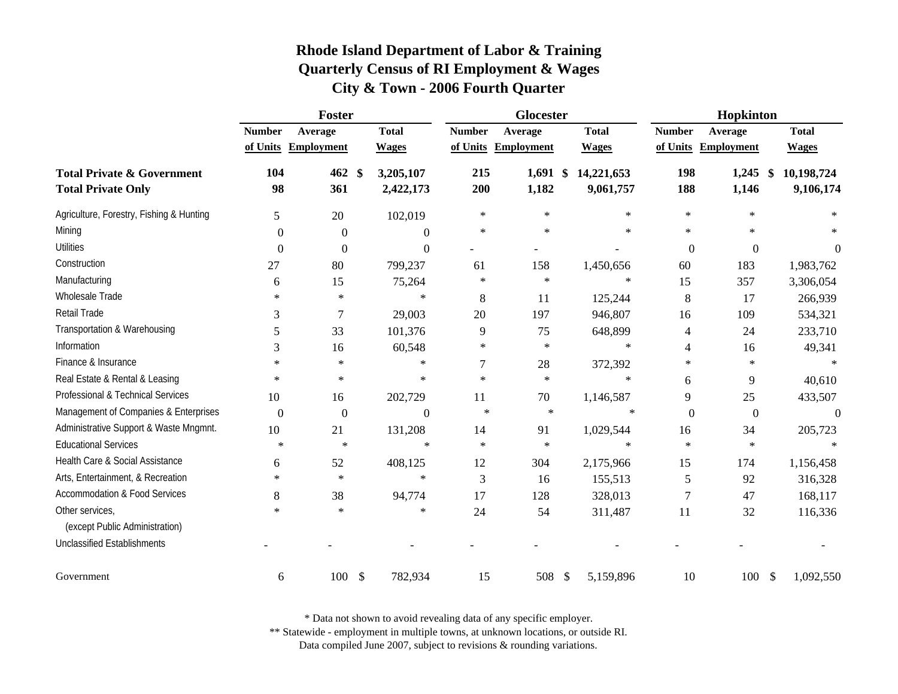|                                                                    | Foster           |                     |               |                        |               | Glocester                        |                         | Hopkinton        |                     |                                              |  |
|--------------------------------------------------------------------|------------------|---------------------|---------------|------------------------|---------------|----------------------------------|-------------------------|------------------|---------------------|----------------------------------------------|--|
|                                                                    | <b>Number</b>    | Average             |               | <b>Total</b>           | <b>Number</b> | Average                          | <b>Total</b>            | <b>Number</b>    | Average             | <b>Total</b>                                 |  |
|                                                                    |                  | of Units Employment |               | <b>Wages</b>           |               | of Units Employment              | <b>Wages</b>            |                  | of Units Employment | <b>Wages</b>                                 |  |
| <b>Total Private &amp; Government</b><br><b>Total Private Only</b> | 104<br>98        | 462<br>361          | \$            | 3,205,107<br>2,422,173 | 215<br>200    | $1,691$ \$<br>1,182              | 14,221,653<br>9,061,757 | 198<br>188       | 1,245<br>1,146      | 10,198,724<br>$\boldsymbol{\$}$<br>9,106,174 |  |
| Agriculture, Forestry, Fishing & Hunting                           | 5                | 20                  |               | 102,019                | $\ast$        | $\ast$                           | $\ast$                  | $\ast$           | $\ast$              |                                              |  |
| Mining                                                             | $\Omega$         | $\overline{0}$      |               | $\overline{0}$         | $\ast$        | $\ast$                           | $\ast$                  | $\ast$           | $\ast$              | $\ast$                                       |  |
| <b>Utilities</b>                                                   | $\boldsymbol{0}$ | $\boldsymbol{0}$    |               | $\boldsymbol{0}$       |               |                                  |                         | $\boldsymbol{0}$ | $\boldsymbol{0}$    | $\overline{0}$                               |  |
| Construction                                                       | 27               | 80                  |               | 799,237                | 61            | 158                              | 1,450,656               | 60               | 183                 | 1,983,762                                    |  |
| Manufacturing                                                      | 6                | 15                  |               | 75,264                 | ∗             | $\ast$                           | $\ast$                  | 15               | 357                 | 3,306,054                                    |  |
| Wholesale Trade                                                    | $\ast$           | $\ast$              |               | $\ast$                 | 8             | 11                               | 125,244                 | $\,8\,$          | 17                  | 266,939                                      |  |
| Retail Trade                                                       | 3                | 7                   |               | 29,003                 | 20            | 197                              | 946,807                 | 16               | 109                 | 534,321                                      |  |
| Transportation & Warehousing                                       | 5                | 33                  |               | 101,376                | 9             | 75                               | 648,899                 | 4                | 24                  | 233,710                                      |  |
| Information                                                        | 3                | 16                  |               | 60,548                 | ∗             | $\ast$                           | $\ast$                  | 4                | 16                  | 49,341                                       |  |
| Finance & Insurance                                                | $\ast$           | $\ast$              |               | $\ast$                 | 7             | 28                               | 372,392                 | $\ast$           | $\ast$              | $\ast$                                       |  |
| Real Estate & Rental & Leasing                                     | $\ast$           | $\star$             |               | $\star$                | $\ast$        | $\ast$                           | $\ast$                  | 6                | 9                   | 40,610                                       |  |
| Professional & Technical Services                                  | 10               | 16                  |               | 202,729                | 11            | 70                               | 1,146,587               | 9                | 25                  | 433,507                                      |  |
| Management of Companies & Enterprises                              | $\boldsymbol{0}$ | $\boldsymbol{0}$    |               | $\overline{0}$         | $\ast$        | $\ast$                           | $\ast$                  | $\boldsymbol{0}$ | $\boldsymbol{0}$    | $\overline{0}$                               |  |
| Administrative Support & Waste Mngmnt.                             | 10               | 21                  |               | 131,208                | 14            | 91                               | 1,029,544               | 16               | 34                  | 205,723                                      |  |
| <b>Educational Services</b>                                        | $\ast$           | $\ast$              |               | $\ast$                 | $\ast$        | $\ast$                           | $\ast$                  | $\ast$           | $\ast$              | $\ast$                                       |  |
| Health Care & Social Assistance                                    | 6                | 52                  |               | 408,125                | 12            | 304                              | 2,175,966               | 15               | 174                 | 1,156,458                                    |  |
| Arts, Entertainment, & Recreation                                  | $\ast$           | $\star$             |               | $\star$                | 3             | 16                               | 155,513                 | 5                | 92                  | 316,328                                      |  |
| <b>Accommodation &amp; Food Services</b>                           | 8                | 38                  |               | 94,774                 | 17            | 128                              | 328,013                 | 7                | 47                  | 168,117                                      |  |
| Other services,<br>(except Public Administration)                  | $\ast$           | $\star$             |               | $\ast$                 | 24            | 54                               | 311,487                 | 11               | 32                  | 116,336                                      |  |
| <b>Unclassified Establishments</b>                                 |                  |                     |               |                        |               |                                  |                         |                  |                     |                                              |  |
| Government                                                         | 6                | 100                 | $\mathcal{S}$ | 782,934                | 15            | 508<br>$\boldsymbol{\mathsf{S}}$ | 5,159,896               | 10               | 100S                | 1,092,550                                    |  |

\* Data not shown to avoid revealing data of any specific employer.

\*\* Statewide - employment in multiple towns, at unknown locations, or outside RI.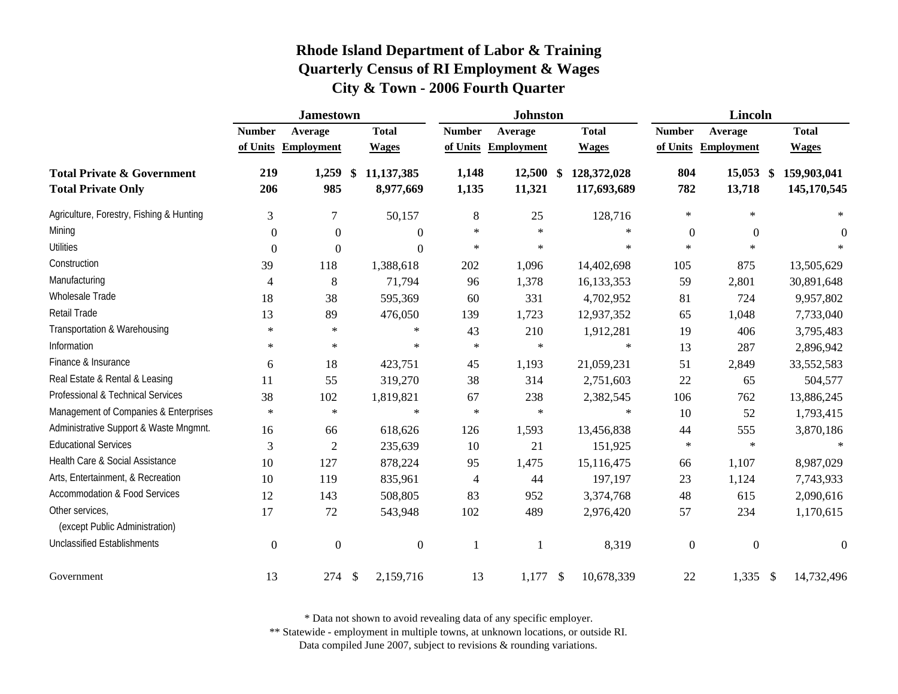|                                                                    | <b>Jamestown</b> |                   |                                          |                | <b>Johnston</b>       |                            | Lincoln          |                       |                            |  |
|--------------------------------------------------------------------|------------------|-------------------|------------------------------------------|----------------|-----------------------|----------------------------|------------------|-----------------------|----------------------------|--|
|                                                                    | <b>Number</b>    | Average           | <b>Total</b>                             | <b>Number</b>  | Average               | <b>Total</b>               | <b>Number</b>    | Average               | <b>Total</b>               |  |
|                                                                    | of Units         | <b>Employment</b> | <b>Wages</b>                             |                | of Units Employment   | <b>Wages</b>               |                  | of Units Employment   | <b>Wages</b>               |  |
| <b>Total Private &amp; Government</b><br><b>Total Private Only</b> | 219<br>206       | 1,259<br>985      | 11,137,385<br>$\mathbf{\$}$<br>8,977,669 | 1,148<br>1,135 | $12,500$ \$<br>11,321 | 128,372,028<br>117,693,689 | 804<br>782       | $15,053$ \$<br>13,718 | 159,903,041<br>145,170,545 |  |
| Agriculture, Forestry, Fishing & Hunting                           | 3                | 7                 | 50,157                                   | 8              | 25                    | 128,716                    | $\ast$           | $\ast$                | $\ast$                     |  |
| Mining                                                             | $\boldsymbol{0}$ | $\Omega$          | $\Omega$                                 | $\ast$         | $\ast$                | ∗                          | $\overline{0}$   | $\overline{0}$        | $\theta$                   |  |
| <b>Utilities</b>                                                   | $\overline{0}$   | $\theta$          | $\Omega$                                 | $\ast$         | $\ast$                | $\ast$                     | $\ast$           | $\ast$                |                            |  |
| Construction                                                       | 39               | 118               | 1,388,618                                | 202            | 1,096                 | 14,402,698                 | 105              | 875                   | 13,505,629                 |  |
| Manufacturing                                                      | $\overline{4}$   | 8                 | 71,794                                   | 96             | 1,378                 | 16,133,353                 | 59               | 2,801                 | 30,891,648                 |  |
| Wholesale Trade                                                    | 18               | 38                | 595,369                                  | 60             | 331                   | 4,702,952                  | 81               | 724                   | 9,957,802                  |  |
| Retail Trade                                                       | 13               | 89                | 476,050                                  | 139            | 1,723                 | 12,937,352                 | 65               | 1,048                 | 7,733,040                  |  |
| Transportation & Warehousing                                       | $\ast$           | $\ast$            | $\ast$                                   | 43             | 210                   | 1,912,281                  | 19               | 406                   | 3,795,483                  |  |
| Information                                                        | $\ast$           | $\ast$            | $\ast$                                   | $\ast$         | $\ast$                | ∗                          | 13               | 287                   | 2,896,942                  |  |
| Finance & Insurance                                                | 6                | 18                | 423,751                                  | 45             | 1,193                 | 21,059,231                 | 51               | 2,849                 | 33,552,583                 |  |
| Real Estate & Rental & Leasing                                     | 11               | 55                | 319,270                                  | 38             | 314                   | 2,751,603                  | 22               | 65                    | 504,577                    |  |
| Professional & Technical Services                                  | 38               | 102               | 1,819,821                                | 67             | 238                   | 2,382,545                  | 106              | 762                   | 13,886,245                 |  |
| Management of Companies & Enterprises                              | $\ast$           | $\star$           | $\ast$                                   | $\ast$         | $\ast$                | $\ast$                     | 10               | 52                    | 1,793,415                  |  |
| Administrative Support & Waste Mngmnt.                             | 16               | 66                | 618,626                                  | 126            | 1,593                 | 13,456,838                 | 44               | 555                   | 3,870,186                  |  |
| <b>Educational Services</b>                                        | 3                | $\overline{2}$    | 235,639                                  | 10             | 21                    | 151,925                    | $\ast$           | $\ast$                | $\ast$                     |  |
| Health Care & Social Assistance                                    | 10               | 127               | 878,224                                  | 95             | 1,475                 | 15,116,475                 | 66               | 1,107                 | 8,987,029                  |  |
| Arts, Entertainment, & Recreation                                  | 10               | 119               | 835,961                                  | $\overline{4}$ | 44                    | 197,197                    | 23               | 1,124                 | 7,743,933                  |  |
| <b>Accommodation &amp; Food Services</b>                           | 12               | 143               | 508,805                                  | 83             | 952                   | 3,374,768                  | 48               | 615                   | 2,090,616                  |  |
| Other services,<br>(except Public Administration)                  | 17               | 72                | 543,948                                  | 102            | 489                   | 2,976,420                  | 57               | 234                   | 1,170,615                  |  |
| <b>Unclassified Establishments</b>                                 | $\boldsymbol{0}$ | $\boldsymbol{0}$  | $\boldsymbol{0}$                         |                |                       | 8,319                      | $\boldsymbol{0}$ | $\boldsymbol{0}$      | $\boldsymbol{0}$           |  |
| Government                                                         | 13               | 274               | \$<br>2,159,716                          | 13             | 1,177                 | 10,678,339<br>-\$          | 22               | $1,335$ \$            | 14,732,496                 |  |

\* Data not shown to avoid revealing data of any specific employer.

\*\* Statewide - employment in multiple towns, at unknown locations, or outside RI.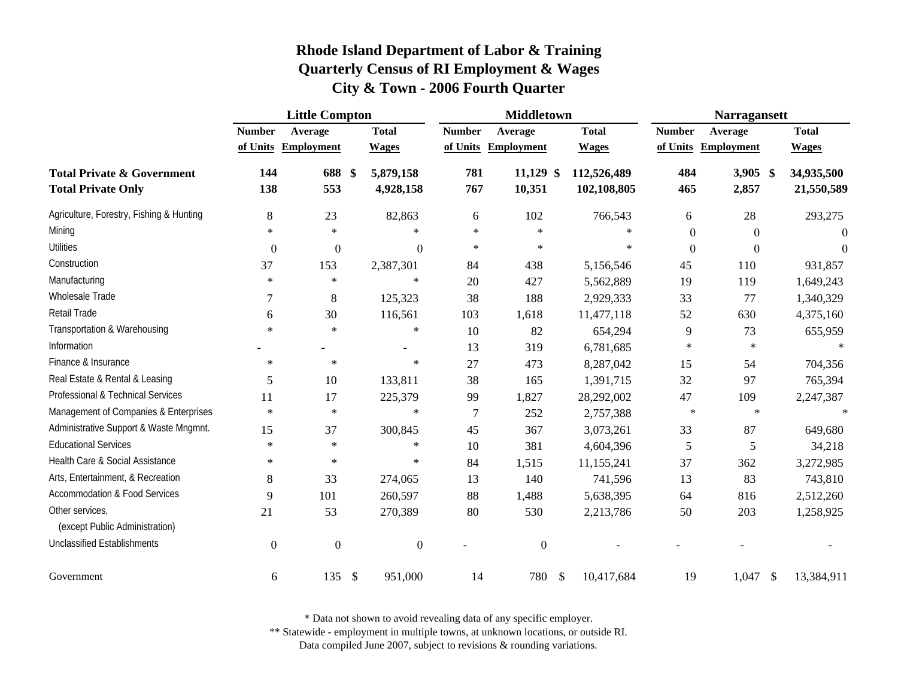|                                                                    | <b>Little Compton</b> |                     |                        |                | <b>Middletown</b>     |                            | <b>Narragansett</b> |                       |                          |  |
|--------------------------------------------------------------------|-----------------------|---------------------|------------------------|----------------|-----------------------|----------------------------|---------------------|-----------------------|--------------------------|--|
|                                                                    | <b>Number</b>         | Average             | <b>Total</b>           | <b>Number</b>  | Average               | <b>Total</b>               | <b>Number</b>       | Average               | <b>Total</b>             |  |
|                                                                    |                       | of Units Employment | <b>Wages</b>           | of Units       | <b>Employment</b>     | <b>Wages</b>               | of Units            | <b>Employment</b>     | <b>Wages</b>             |  |
| <b>Total Private &amp; Government</b><br><b>Total Private Only</b> | 144<br>138            | 688 \$<br>553       | 5,879,158<br>4,928,158 | 781<br>767     | $11,129$ \$<br>10,351 | 112,526,489<br>102,108,805 | 484<br>465          | $3,905$ \$<br>2,857   | 34,935,500<br>21,550,589 |  |
| Agriculture, Forestry, Fishing & Hunting                           | 8                     | 23                  | 82,863                 | 6              | 102                   | 766,543                    | 6                   | 28                    | 293,275                  |  |
| Mining                                                             | $\ast$                | $\ast$              | $\ast$                 | $\ast$         | $\ast$                | $\ast$                     | $\boldsymbol{0}$    | $\Omega$              | $\theta$                 |  |
| <b>Utilities</b>                                                   | $\boldsymbol{0}$      | $\boldsymbol{0}$    | $\boldsymbol{0}$       | $\ast$         | $\ast$                | $\ast$                     | $\theta$            | $\Omega$              | $\Omega$                 |  |
| Construction                                                       | 37                    | 153                 | 2,387,301              | 84             | 438                   | 5,156,546                  | 45                  | 110                   | 931,857                  |  |
| Manufacturing                                                      | $\ast$                | $\ast$              | $\ast$                 | 20             | 427                   | 5,562,889                  | 19                  | 119                   | 1,649,243                |  |
| Wholesale Trade                                                    | $\overline{7}$        | 8                   | 125,323                | 38             | 188                   | 2,929,333                  | 33                  | 77                    | 1,340,329                |  |
| Retail Trade                                                       | 6                     | 30                  | 116,561                | 103            | 1,618                 | 11,477,118                 | 52                  | 630                   | 4,375,160                |  |
| Transportation & Warehousing                                       | $\ast$                | $\ast$              | $\ast$                 | 10             | 82                    | 654,294                    | 9                   | 73                    | 655,959                  |  |
| Information                                                        |                       |                     |                        | 13             | 319                   | 6,781,685                  | $\ast$              | $\ast$                |                          |  |
| Finance & Insurance                                                | $\ast$                | $\ast$              | $\ast$                 | 27             | 473                   | 8,287,042                  | 15                  | 54                    | 704,356                  |  |
| Real Estate & Rental & Leasing                                     | 5                     | 10                  | 133,811                | 38             | 165                   | 1,391,715                  | 32                  | 97                    | 765,394                  |  |
| Professional & Technical Services                                  | 11                    | 17                  | 225,379                | 99             | 1,827                 | 28,292,002                 | 47                  | 109                   | 2,247,387                |  |
| Management of Companies & Enterprises                              | $\ast$                | $\star$             | $\ast$                 | $\overline{7}$ | 252                   | 2,757,388                  | $\star$             | $\ast$                | $\ast$                   |  |
| Administrative Support & Waste Mngmnt.                             | 15                    | 37                  | 300,845                | 45             | 367                   | 3,073,261                  | 33                  | 87                    | 649,680                  |  |
| <b>Educational Services</b>                                        | $\ast$                | $\ast$              | $\ast$                 | 10             | 381                   | 4,604,396                  | 5                   | 5                     | 34,218                   |  |
| Health Care & Social Assistance                                    | $\ast$                | $\ast$              | $\ast$                 | 84             | 1,515                 | 11,155,241                 | 37                  | 362                   | 3,272,985                |  |
| Arts, Entertainment, & Recreation                                  | 8                     | 33                  | 274,065                | 13             | 140                   | 741,596                    | 13                  | 83                    | 743,810                  |  |
| <b>Accommodation &amp; Food Services</b>                           | 9                     | 101                 | 260,597                | 88             | 1,488                 | 5,638,395                  | 64                  | 816                   | 2,512,260                |  |
| Other services,<br>(except Public Administration)                  | 21                    | 53                  | 270,389                | 80             | 530                   | 2,213,786                  | 50                  | 203                   | 1,258,925                |  |
| <b>Unclassified Establishments</b>                                 | $\boldsymbol{0}$      | $\boldsymbol{0}$    | $\boldsymbol{0}$       |                | $\boldsymbol{0}$      |                            |                     |                       |                          |  |
| Government                                                         | 6                     | 135S                | 951,000                | 14             | 780 \$                | 10,417,684                 | 19                  | $\mathbb{S}$<br>1,047 | 13,384,911               |  |

\* Data not shown to avoid revealing data of any specific employer.

\*\* Statewide - employment in multiple towns, at unknown locations, or outside RI.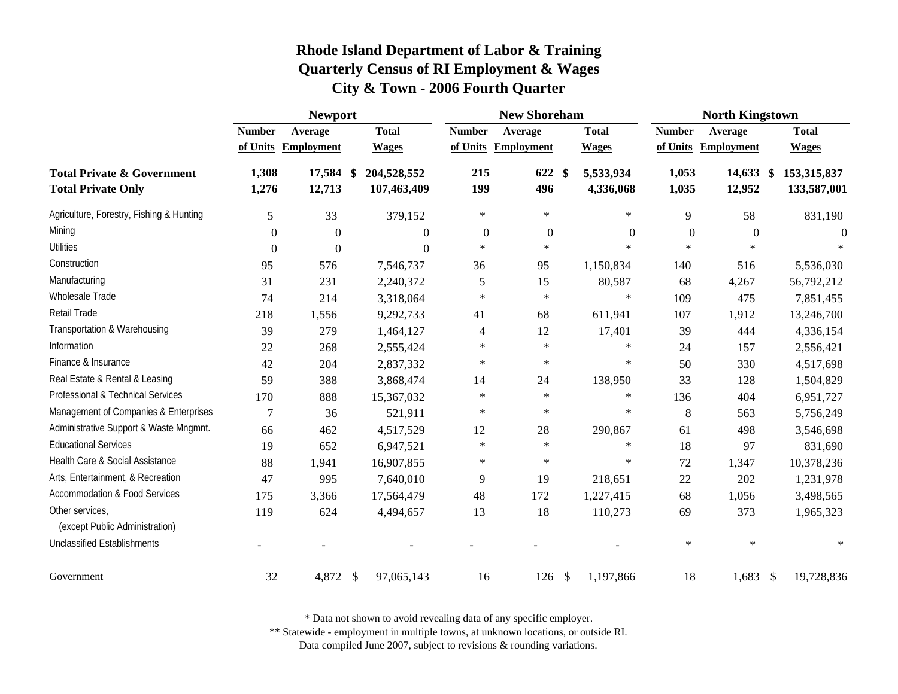|                                                                    |                  | <b>Newport</b>      | <b>New Shoreham</b>        |               |                   |               | <b>North Kingstown</b> |                  |                       |                            |
|--------------------------------------------------------------------|------------------|---------------------|----------------------------|---------------|-------------------|---------------|------------------------|------------------|-----------------------|----------------------------|
|                                                                    | <b>Number</b>    | Average             | <b>Total</b>               | <b>Number</b> | Average           |               | <b>Total</b>           | <b>Number</b>    | Average               | <b>Total</b>               |
|                                                                    | of Units         | <b>Employment</b>   | <b>Wages</b>               | of Units      | <b>Employment</b> |               | <b>Wages</b>           | of Units         | <b>Employment</b>     | <b>Wages</b>               |
| <b>Total Private &amp; Government</b><br><b>Total Private Only</b> | 1,308<br>1,276   | 17,584 \$<br>12,713 | 204,528,552<br>107,463,409 | 215<br>199    | 622<br>496        | <sup>\$</sup> | 5,533,934<br>4,336,068 | 1,053<br>1,035   | $14,633$ \$<br>12,952 | 153,315,837<br>133,587,001 |
| Agriculture, Forestry, Fishing & Hunting                           | 5                | 33                  | 379,152                    | $\ast$        | $\ast$            |               | $\ast$                 | 9                | 58                    | 831,190                    |
| Mining                                                             | $\boldsymbol{0}$ | $\boldsymbol{0}$    | $\overline{0}$             | $\mathbf{0}$  | $\overline{0}$    |               | $\boldsymbol{0}$       | $\boldsymbol{0}$ | $\overline{0}$        | $\Omega$                   |
| <b>Utilities</b>                                                   | $\boldsymbol{0}$ | 0                   | $\overline{0}$             | $\ast$        | $\ast$            |               | $\ast$                 | $\ast$           | $\ast$                | $\ast$                     |
| Construction                                                       | 95               | 576                 | 7,546,737                  | 36            | 95                |               | 1,150,834              | 140              | 516                   | 5,536,030                  |
| Manufacturing                                                      | 31               | 231                 | 2,240,372                  | 5             | 15                |               | 80,587                 | 68               | 4,267                 | 56,792,212                 |
| Wholesale Trade                                                    | 74               | 214                 | 3,318,064                  | $\ast$        | $\ast$            |               | $\ast$                 | 109              | 475                   | 7,851,455                  |
| Retail Trade                                                       | 218              | 1,556               | 9,292,733                  | 41            | 68                |               | 611,941                | 107              | 1,912                 | 13,246,700                 |
| Transportation & Warehousing                                       | 39               | 279                 | 1,464,127                  | 4             | 12                |               | 17,401                 | 39               | 444                   | 4,336,154                  |
| Information                                                        | 22               | 268                 | 2,555,424                  | $\ast$        | $\ast$            |               | $\ast$                 | 24               | 157                   | 2,556,421                  |
| Finance & Insurance                                                | 42               | 204                 | 2,837,332                  | $\ast$        | $\ast$            |               | $\ast$                 | 50               | 330                   | 4,517,698                  |
| Real Estate & Rental & Leasing                                     | 59               | 388                 | 3,868,474                  | 14            | 24                |               | 138,950                | 33               | 128                   | 1,504,829                  |
| Professional & Technical Services                                  | 170              | 888                 | 15,367,032                 | $\ast$        | $\ast$            |               | $\ast$                 | 136              | 404                   | 6,951,727                  |
| Management of Companies & Enterprises                              | 7                | 36                  | 521,911                    | $\ast$        | $\ast$            |               | $\ast$                 | 8                | 563                   | 5,756,249                  |
| Administrative Support & Waste Mngmnt.                             | 66               | 462                 | 4,517,529                  | 12            | 28                |               | 290,867                | 61               | 498                   | 3,546,698                  |
| <b>Educational Services</b>                                        | 19               | 652                 | 6,947,521                  | $\ast$        | $\ast$            |               | $\ast$                 | 18               | 97                    | 831,690                    |
| Health Care & Social Assistance                                    | 88               | 1,941               | 16,907,855                 | ∗             | $\ast$            |               | ∗                      | 72               | 1,347                 | 10,378,236                 |
| Arts, Entertainment, & Recreation                                  | 47               | 995                 | 7,640,010                  | 9             | 19                |               | 218,651                | 22               | 202                   | 1,231,978                  |
| <b>Accommodation &amp; Food Services</b>                           | 175              | 3,366               | 17,564,479                 | 48            | 172               |               | 1,227,415              | 68               | 1,056                 | 3,498,565                  |
| Other services,<br>(except Public Administration)                  | 119              | 624                 | 4,494,657                  | 13            | 18                |               | 110,273                | 69               | 373                   | 1,965,323                  |
| <b>Unclassified Establishments</b>                                 |                  |                     |                            |               |                   |               |                        | $\ast$           | $\star$               |                            |
| Government                                                         | 32               | 4,872               | 97,065,143<br>-S           | 16            | $126 \text{ }$ \$ |               | 1,197,866              | 18               | $1,683$ \$            | 19,728,836                 |

\* Data not shown to avoid revealing data of any specific employer.

\*\* Statewide - employment in multiple towns, at unknown locations, or outside RI.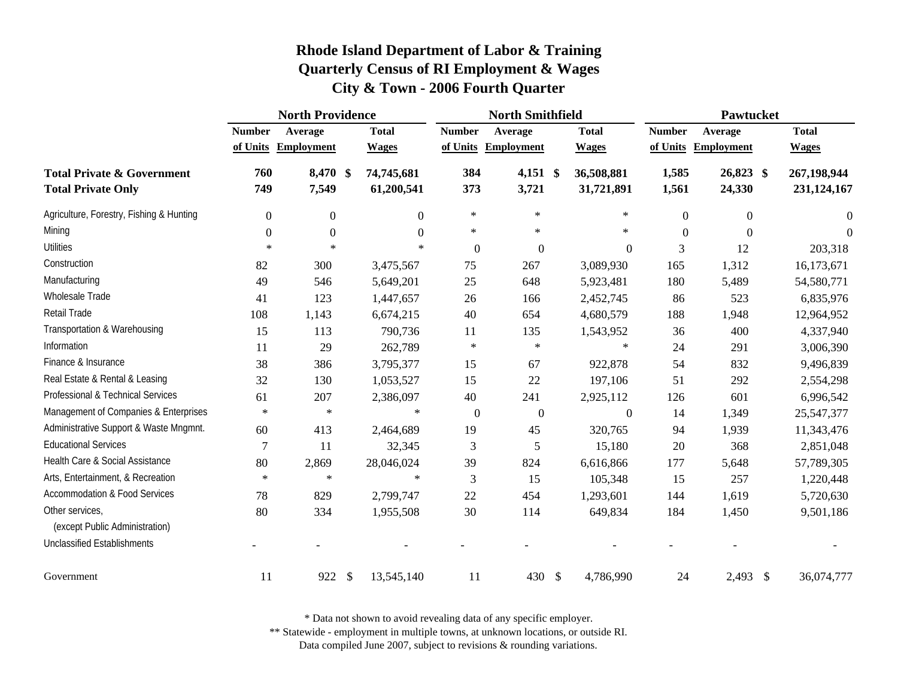|                                                                    | <b>North Providence</b> |                   |                                         | <b>North Smithfield</b> |                     |               |                          | Pawtucket      |                     |  |                            |
|--------------------------------------------------------------------|-------------------------|-------------------|-----------------------------------------|-------------------------|---------------------|---------------|--------------------------|----------------|---------------------|--|----------------------------|
|                                                                    | <b>Number</b>           | Average           | <b>Total</b>                            | <b>Number</b>           | Average             |               | <b>Total</b>             | <b>Number</b>  | Average             |  | <b>Total</b>               |
|                                                                    | of Units                | <b>Employment</b> | <b>Wages</b>                            | of Units                | <b>Employment</b>   |               | <b>Wages</b>             | of Units       | <b>Employment</b>   |  | <b>Wages</b>               |
| <b>Total Private &amp; Government</b><br><b>Total Private Only</b> | 760<br>749              | 8,470 \$<br>7,549 | 74,745,681<br>61,200,541                | 384<br>373              | $4,151$ \$<br>3,721 |               | 36,508,881<br>31,721,891 | 1,585<br>1,561 | 26,823 \$<br>24,330 |  | 267,198,944<br>231,124,167 |
| Agriculture, Forestry, Fishing & Hunting                           | $\mathbf{0}$            | $\overline{0}$    | $\Omega$                                | $\ast$                  | $\ast$              |               | $\ast$                   | $\mathbf{0}$   | $\overline{0}$      |  | $\Omega$                   |
| Mining                                                             | $\theta$                | $\overline{0}$    | $\Omega$                                | $\ast$                  | $\ast$              |               | $\ast$                   | $\Omega$       | $\Omega$            |  | $\theta$                   |
| Utilities                                                          | $\ast$                  | $\ast$            | $\ast$                                  | $\overline{0}$          | $\overline{0}$      |               | $\overline{0}$           | 3              | 12                  |  | 203,318                    |
| Construction                                                       | 82                      | 300               | 3,475,567                               | 75                      | 267                 |               | 3,089,930                | 165            | 1,312               |  | 16,173,671                 |
| Manufacturing                                                      | 49                      | 546               | 5,649,201                               | 25                      | 648                 |               | 5,923,481                | 180            | 5,489               |  | 54,580,771                 |
| Wholesale Trade                                                    | 41                      | 123               | 1,447,657                               | 26                      | 166                 |               | 2,452,745                | 86             | 523                 |  | 6,835,976                  |
| Retail Trade                                                       | 108                     | 1,143             | 6,674,215                               | 40                      | 654                 |               | 4,680,579                | 188            | 1,948               |  | 12,964,952                 |
| Transportation & Warehousing                                       | 15                      | 113               | 790,736                                 | 11                      | 135                 |               | 1,543,952                | 36             | 400                 |  | 4,337,940                  |
| Information                                                        | 11                      | 29                | 262,789                                 | $\ast$                  | $\ast$              |               | $\ast$                   | 24             | 291                 |  | 3,006,390                  |
| Finance & Insurance                                                | 38                      | 386               | 3,795,377                               | 15                      | 67                  |               | 922,878                  | 54             | 832                 |  | 9,496,839                  |
| Real Estate & Rental & Leasing                                     | 32                      | 130               | 1,053,527                               | 15                      | 22                  |               | 197,106                  | 51             | 292                 |  | 2,554,298                  |
| Professional & Technical Services                                  | 61                      | 207               | 2,386,097                               | 40                      | 241                 |               | 2,925,112                | 126            | 601                 |  | 6,996,542                  |
| Management of Companies & Enterprises                              | $\ast$                  | $\ast$            | $\ast$                                  | $\overline{0}$          | $\boldsymbol{0}$    |               | $\mathbf{0}$             | 14             | 1,349               |  | 25,547,377                 |
| Administrative Support & Waste Mngmnt.                             | 60                      | 413               | 2,464,689                               | 19                      | 45                  |               | 320,765                  | 94             | 1,939               |  | 11,343,476                 |
| <b>Educational Services</b>                                        | $\overline{7}$          | 11                | 32,345                                  | 3                       | 5                   |               | 15,180                   | 20             | 368                 |  | 2,851,048                  |
| Health Care & Social Assistance                                    | 80                      | 2,869             | 28,046,024                              | 39                      | 824                 |               | 6,616,866                | 177            | 5,648               |  | 57,789,305                 |
| Arts, Entertainment, & Recreation                                  | $\ast$                  | $\ast$            | $\ast$                                  | 3                       | 15                  |               | 105,348                  | 15             | 257                 |  | 1,220,448                  |
| <b>Accommodation &amp; Food Services</b>                           | 78                      | 829               | 2,799,747                               | 22                      | 454                 |               | 1,293,601                | 144            | 1,619               |  | 5,720,630                  |
| Other services,<br>(except Public Administration)                  | 80                      | 334               | 1,955,508                               | 30                      | 114                 |               | 649,834                  | 184            | 1,450               |  | 9,501,186                  |
| <b>Unclassified Establishments</b>                                 |                         |                   |                                         |                         |                     |               |                          |                |                     |  |                            |
| Government                                                         | 11                      | 922               | $\boldsymbol{\mathsf{S}}$<br>13,545,140 | 11                      | 430                 | $\mathcal{S}$ | 4,786,990                | 24             | 2,493 \$            |  | 36,074,777                 |

\* Data not shown to avoid revealing data of any specific employer.

\*\* Statewide - employment in multiple towns, at unknown locations, or outside RI.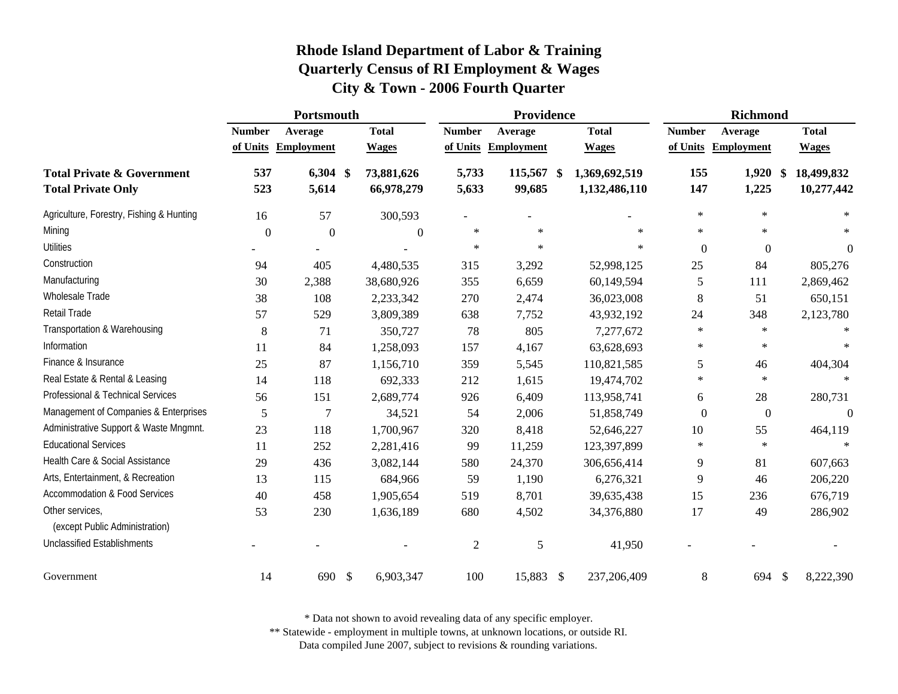|                                                                    |                  | Portsmouth          |                            |                | Providence           |                                | <b>Richmond</b> |                   |                                |  |
|--------------------------------------------------------------------|------------------|---------------------|----------------------------|----------------|----------------------|--------------------------------|-----------------|-------------------|--------------------------------|--|
|                                                                    | <b>Number</b>    | Average             | <b>Total</b>               | <b>Number</b>  | Average              | <b>Total</b>                   | <b>Number</b>   | Average           | <b>Total</b>                   |  |
|                                                                    | of Units         | <b>Employment</b>   | <b>Wages</b>               | of Units       | <b>Employment</b>    | <b>Wages</b>                   | of Units        | <b>Employment</b> | <b>Wages</b>                   |  |
| <b>Total Private &amp; Government</b><br><b>Total Private Only</b> | 537<br>523       | $6,304$ \$<br>5,614 | 73,881,626<br>66,978,279   | 5,733<br>5,633 | 115,567 \$<br>99,685 | 1,369,692,519<br>1,132,486,110 | 155<br>147      | 1,920<br>1,225    | 18,499,832<br>\$<br>10,277,442 |  |
| Agriculture, Forestry, Fishing & Hunting                           | 16               | 57                  | 300,593                    |                |                      |                                | $\ast$          | $\ast$            | $\ast$                         |  |
| Mining                                                             | $\boldsymbol{0}$ | $\boldsymbol{0}$    | $\overline{0}$             | $\ast$         | $\ast$               | $\ast$                         | $\ast$          | $\ast$            | $\ast$                         |  |
| <b>Utilities</b>                                                   |                  |                     |                            | $\ast$         | $\ast$               | $\ast$                         | $\overline{0}$  | $\boldsymbol{0}$  | $\boldsymbol{0}$               |  |
| Construction                                                       | 94               | 405                 | 4,480,535                  | 315            | 3,292                | 52,998,125                     | 25              | 84                | 805,276                        |  |
| Manufacturing                                                      | 30               | 2,388               | 38,680,926                 | 355            | 6,659                | 60,149,594                     | 5               | 111               | 2,869,462                      |  |
| Wholesale Trade                                                    | 38               | 108                 | 2,233,342                  | 270            | 2,474                | 36,023,008                     | $\,8\,$         | 51                | 650,151                        |  |
| Retail Trade                                                       | 57               | 529                 | 3,809,389                  | 638            | 7,752                | 43,932,192                     | 24              | 348               | 2,123,780                      |  |
| Transportation & Warehousing                                       | $\,8\,$          | 71                  | 350,727                    | 78             | 805                  | 7,277,672                      | $\ast$          | $\ast$            | $\ast$                         |  |
| Information                                                        | 11               | 84                  | 1,258,093                  | 157            | 4,167                | 63,628,693                     | $\ast$          | $\ast$            |                                |  |
| Finance & Insurance                                                | 25               | 87                  | 1,156,710                  | 359            | 5,545                | 110,821,585                    | 5               | 46                | 404,304                        |  |
| Real Estate & Rental & Leasing                                     | 14               | 118                 | 692,333                    | 212            | 1,615                | 19,474,702                     | $\ast$          | $\star$           | $\ast$                         |  |
| Professional & Technical Services                                  | 56               | 151                 | 2,689,774                  | 926            | 6,409                | 113,958,741                    | 6               | 28                | 280,731                        |  |
| Management of Companies & Enterprises                              | 5                | $\overline{7}$      | 34,521                     | 54             | 2,006                | 51,858,749                     | $\overline{0}$  | $\boldsymbol{0}$  | $\boldsymbol{0}$               |  |
| Administrative Support & Waste Mngmnt.                             | 23               | 118                 | 1,700,967                  | 320            | 8,418                | 52,646,227                     | 10              | 55                | 464,119                        |  |
| <b>Educational Services</b>                                        | 11               | 252                 | 2,281,416                  | 99             | 11,259               | 123,397,899                    | $\ast$          | $\ast$            |                                |  |
| Health Care & Social Assistance                                    | 29               | 436                 | 3,082,144                  | 580            | 24,370               | 306,656,414                    | 9               | 81                | 607,663                        |  |
| Arts, Entertainment, & Recreation                                  | 13               | 115                 | 684,966                    | 59             | 1,190                | 6,276,321                      | 9               | 46                | 206,220                        |  |
| <b>Accommodation &amp; Food Services</b>                           | 40               | 458                 | 1,905,654                  | 519            | 8,701                | 39,635,438                     | 15              | 236               | 676,719                        |  |
| Other services,<br>(except Public Administration)                  | 53               | 230                 | 1,636,189                  | 680            | 4,502                | 34,376,880                     | 17              | 49                | 286,902                        |  |
| <b>Unclassified Establishments</b>                                 |                  |                     |                            | $\overline{2}$ | 5                    | 41,950                         |                 |                   |                                |  |
| Government                                                         | 14               | 690                 | $\mathcal{S}$<br>6,903,347 | 100            | 15,883               | 237,206,409<br>$\mathcal{S}$   | 8               | 694               | $\frac{1}{2}$<br>8,222,390     |  |

\* Data not shown to avoid revealing data of any specific employer.

\*\* Statewide - employment in multiple towns, at unknown locations, or outside RI.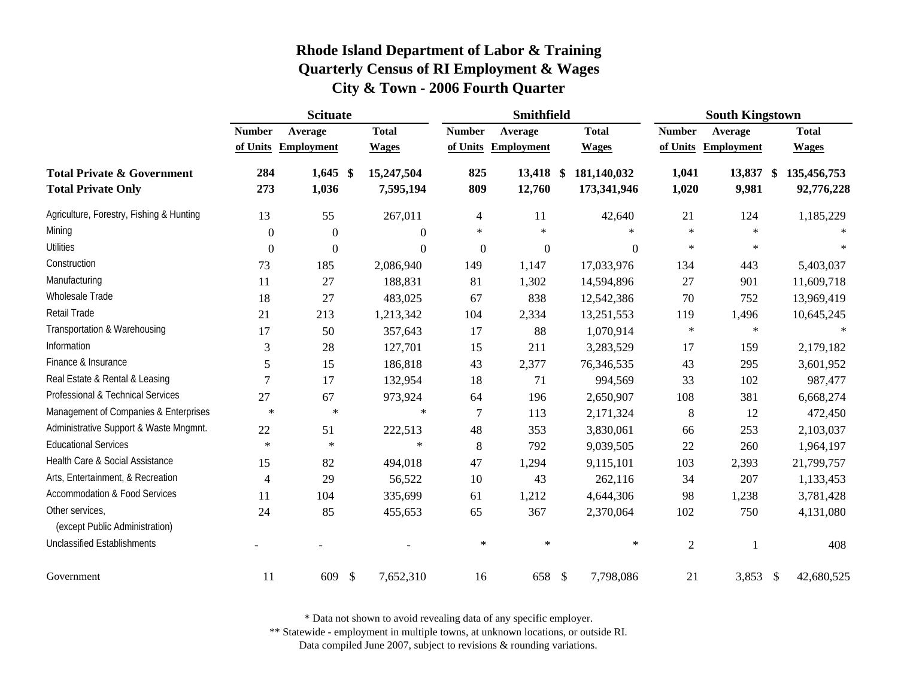|                                                                    |                  | <b>Scituate</b>     |                           |                  | <b>Smithfield</b>   |                            | <b>South Kingstown</b> |                    |                           |  |
|--------------------------------------------------------------------|------------------|---------------------|---------------------------|------------------|---------------------|----------------------------|------------------------|--------------------|---------------------------|--|
|                                                                    | <b>Number</b>    | Average             | <b>Total</b>              | <b>Number</b>    | Average             | <b>Total</b>               | <b>Number</b>          | Average            | <b>Total</b>              |  |
|                                                                    |                  | of Units Employment | <b>Wages</b>              | of Units         | <b>Employment</b>   | <b>Wages</b>               | of Units               | <b>Employment</b>  | <b>Wages</b>              |  |
| <b>Total Private &amp; Government</b><br><b>Total Private Only</b> | 284<br>273       | $1,645$ \$<br>1,036 | 15,247,504<br>7,595,194   | 825<br>809       | 13,418 \$<br>12,760 | 181,140,032<br>173,341,946 | 1,041<br>1,020         | 13,837 \$<br>9,981 | 135,456,753<br>92,776,228 |  |
| Agriculture, Forestry, Fishing & Hunting                           | 13               | 55                  | 267,011                   | $\overline{4}$   | 11                  | 42,640                     | 21                     | 124                | 1,185,229                 |  |
| Mining                                                             | $\boldsymbol{0}$ | $\boldsymbol{0}$    | $\Omega$                  | $\ast$           | $\ast$              | $\ast$                     | $\ast$                 | $\ast$             |                           |  |
| <b>Utilities</b>                                                   | $\overline{0}$   | $\Omega$            | $\Omega$                  | $\mathbf{0}$     | $\overline{0}$      | $\Omega$                   | $\ast$                 | $\ast$             |                           |  |
| Construction                                                       | 73               | 185                 | 2,086,940                 | 149              | 1,147               | 17,033,976                 | 134                    | 443                | 5,403,037                 |  |
| Manufacturing                                                      | 11               | 27                  | 188,831                   | 81               | 1,302               | 14,594,896                 | 27                     | 901                | 11,609,718                |  |
| Wholesale Trade                                                    | 18               | 27                  | 483,025                   | 67               | 838                 | 12,542,386                 | 70                     | 752                | 13,969,419                |  |
| <b>Retail Trade</b>                                                | 21               | 213                 | 1,213,342                 | 104              | 2,334               | 13,251,553                 | 119                    | 1,496              | 10,645,245                |  |
| Transportation & Warehousing                                       | 17               | 50                  | 357,643                   | 17               | 88                  | 1,070,914                  | $\ast$                 | $\ast$             |                           |  |
| Information                                                        | 3                | 28                  | 127,701                   | 15               | 211                 | 3,283,529                  | 17                     | 159                | 2,179,182                 |  |
| Finance & Insurance                                                | 5                | 15                  | 186,818                   | 43               | 2,377               | 76,346,535                 | 43                     | 295                | 3,601,952                 |  |
| Real Estate & Rental & Leasing                                     | $\overline{7}$   | 17                  | 132,954                   | 18               | 71                  | 994,569                    | 33                     | 102                | 987,477                   |  |
| Professional & Technical Services                                  | 27               | 67                  | 973,924                   | 64               | 196                 | 2,650,907                  | 108                    | 381                | 6,668,274                 |  |
| Management of Companies & Enterprises                              | $\ast$           | $\ast$              | $\ast$                    | $\boldsymbol{7}$ | 113                 | 2,171,324                  | 8                      | 12                 | 472,450                   |  |
| Administrative Support & Waste Mngmnt.                             | 22               | 51                  | 222,513                   | 48               | 353                 | 3,830,061                  | 66                     | 253                | 2,103,037                 |  |
| <b>Educational Services</b>                                        | $\ast$           | $\star$             | $\star$                   | $\,8\,$          | 792                 | 9,039,505                  | 22                     | 260                | 1,964,197                 |  |
| Health Care & Social Assistance                                    | 15               | 82                  | 494,018                   | 47               | 1,294               | 9,115,101                  | 103                    | 2,393              | 21,799,757                |  |
| Arts, Entertainment, & Recreation                                  | $\overline{4}$   | 29                  | 56,522                    | 10               | 43                  | 262,116                    | 34                     | 207                | 1,133,453                 |  |
| <b>Accommodation &amp; Food Services</b>                           | 11               | 104                 | 335,699                   | 61               | 1,212               | 4,644,306                  | 98                     | 1,238              | 3,781,428                 |  |
| Other services,<br>(except Public Administration)                  | 24               | 85                  | 455,653                   | 65               | 367                 | 2,370,064                  | 102                    | 750                | 4,131,080                 |  |
| <b>Unclassified Establishments</b>                                 |                  |                     |                           | $\ast$           | $\ast$              | $\ast$                     | $\overline{2}$         | $\overline{1}$     | 408                       |  |
| Government                                                         | 11               | 609                 | $\mathbb{S}$<br>7,652,310 | 16               | 658 \$              | 7,798,086                  | 21                     | 3,853              | 42,680,525<br>- \$        |  |

\* Data not shown to avoid revealing data of any specific employer.

\*\* Statewide - employment in multiple towns, at unknown locations, or outside RI.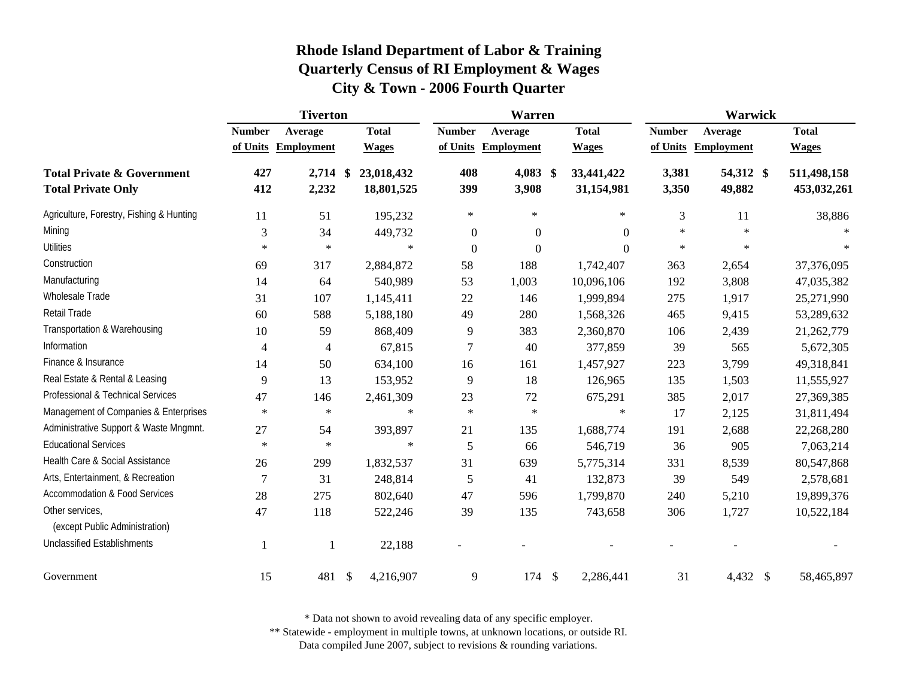|                                                                    |                | <b>Tiverton</b>          |                            |                  | <b>Warren</b>     |                                | <b>Warwick</b> |                     |                            |  |
|--------------------------------------------------------------------|----------------|--------------------------|----------------------------|------------------|-------------------|--------------------------------|----------------|---------------------|----------------------------|--|
|                                                                    | <b>Number</b>  | Average                  | <b>Total</b>               | <b>Number</b>    | Average           | <b>Total</b>                   | <b>Number</b>  | Average             | <b>Total</b>               |  |
|                                                                    | of Units       | <b>Employment</b>        | <b>Wages</b>               | of Units         | <b>Employment</b> | <b>Wages</b>                   | of Units       | <b>Employment</b>   | <b>Wages</b>               |  |
| <b>Total Private &amp; Government</b><br><b>Total Private Only</b> | 427<br>412     | $2,714$ \$<br>2,232      | 23,018,432<br>18,801,525   | 408<br>399       | 4,083<br>3,908    | 33,441,422<br>\$<br>31,154,981 | 3,381<br>3,350 | 54,312 \$<br>49,882 | 511,498,158<br>453,032,261 |  |
| Agriculture, Forestry, Fishing & Hunting                           | 11             | 51                       | 195,232                    | $\ast$           | $\ast$            | $\ast$                         | 3              | 11                  | 38,886                     |  |
| Mining                                                             | $\mathfrak{Z}$ | 34                       | 449,732                    | $\boldsymbol{0}$ | $\boldsymbol{0}$  | $\theta$                       | $\ast$         | $\star$             |                            |  |
| Utilities                                                          | $\ast$         | $\ast$                   | $\ast$                     | $\overline{0}$   | $\boldsymbol{0}$  | $\theta$                       | $\ast$         | $\ast$              | $\ast$                     |  |
| Construction                                                       | 69             | 317                      | 2,884,872                  | 58               | 188               | 1,742,407                      | 363            | 2,654               | 37,376,095                 |  |
| Manufacturing                                                      | 14             | 64                       | 540,989                    | 53               | 1,003             | 10,096,106                     | 192            | 3,808               | 47,035,382                 |  |
| Wholesale Trade                                                    | 31             | 107                      | 1,145,411                  | 22               | 146               | 1,999,894                      | 275            | 1,917               | 25,271,990                 |  |
| Retail Trade                                                       | 60             | 588                      | 5,188,180                  | 49               | 280               | 1,568,326                      | 465            | 9,415               | 53,289,632                 |  |
| Transportation & Warehousing                                       | 10             | 59                       | 868,409                    | 9                | 383               | 2,360,870                      | 106            | 2,439               | 21,262,779                 |  |
| Information                                                        | $\overline{4}$ | $\overline{\mathcal{A}}$ | 67,815                     | 7                | 40                | 377,859                        | 39             | 565                 | 5,672,305                  |  |
| Finance & Insurance                                                | 14             | 50                       | 634,100                    | 16               | 161               | 1,457,927                      | 223            | 3,799               | 49,318,841                 |  |
| Real Estate & Rental & Leasing                                     | 9              | 13                       | 153,952                    | 9                | 18                | 126,965                        | 135            | 1,503               | 11,555,927                 |  |
| Professional & Technical Services                                  | 47             | 146                      | 2,461,309                  | 23               | 72                | 675,291                        | 385            | 2,017               | 27,369,385                 |  |
| Management of Companies & Enterprises                              | $\ast$         | $\ast$                   | $\ast$                     | $\ast$           | $\ast$            | $\ast$                         | 17             | 2,125               | 31,811,494                 |  |
| Administrative Support & Waste Mngmnt.                             | 27             | 54                       | 393,897                    | 21               | 135               | 1,688,774                      | 191            | 2,688               | 22,268,280                 |  |
| <b>Educational Services</b>                                        | $\ast$         | $\ast$                   | $\ast$                     | 5                | 66                | 546,719                        | 36             | 905                 | 7,063,214                  |  |
| Health Care & Social Assistance                                    | 26             | 299                      | 1,832,537                  | 31               | 639               | 5,775,314                      | 331            | 8,539               | 80,547,868                 |  |
| Arts, Entertainment, & Recreation                                  | $\overline{7}$ | 31                       | 248,814                    | 5                | 41                | 132,873                        | 39             | 549                 | 2,578,681                  |  |
| <b>Accommodation &amp; Food Services</b>                           | 28             | 275                      | 802,640                    | 47               | 596               | 1,799,870                      | 240            | 5,210               | 19,899,376                 |  |
| Other services,<br>(except Public Administration)                  | 47             | 118                      | 522,246                    | 39               | 135               | 743,658                        | 306            | 1,727               | 10,522,184                 |  |
| <b>Unclassified Establishments</b>                                 | 1              |                          | 22,188                     |                  |                   |                                |                |                     |                            |  |
| Government                                                         | 15             | 481                      | $\mathcal{S}$<br>4,216,907 | 9                | 174               | $\mathcal{S}$<br>2,286,441     | 31             | 4,432 \$            | 58,465,897                 |  |

\* Data not shown to avoid revealing data of any specific employer.

\*\* Statewide - employment in multiple towns, at unknown locations, or outside RI.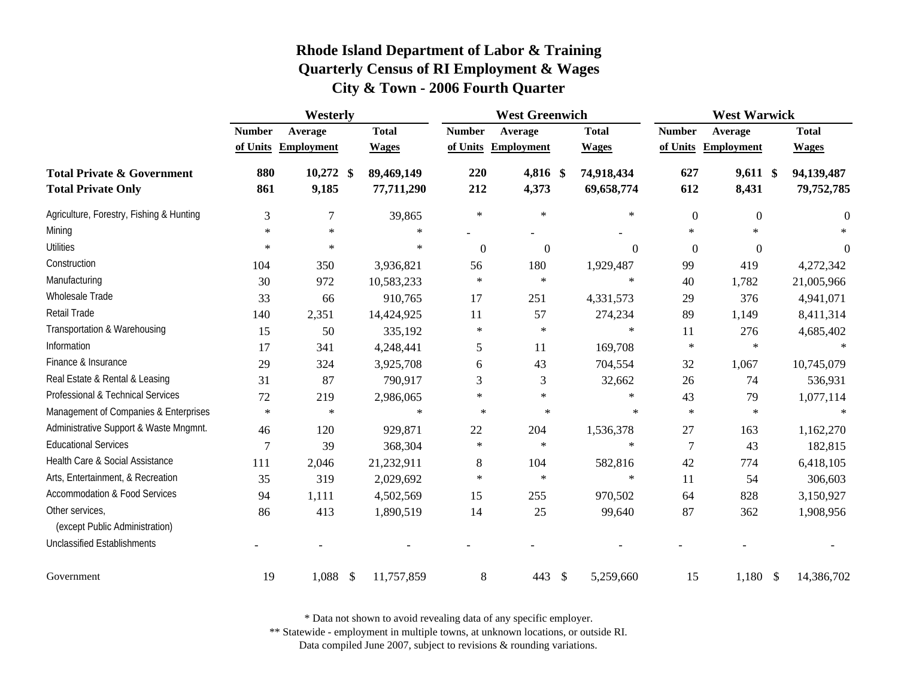|                                                                    | Westerly       |                                |                             |               | <b>West Greenwich</b> |                              | <b>West Warwick</b>       |                     |                              |  |
|--------------------------------------------------------------------|----------------|--------------------------------|-----------------------------|---------------|-----------------------|------------------------------|---------------------------|---------------------|------------------------------|--|
|                                                                    | <b>Number</b>  | Average<br>of Units Employment | <b>Total</b>                | <b>Number</b> | Average               | <b>Total</b><br><b>Wages</b> | <b>Number</b><br>of Units | Average             | <b>Total</b><br><b>Wages</b> |  |
|                                                                    |                |                                | <b>Wages</b>                |               | of Units Employment   |                              |                           | <b>Employment</b>   |                              |  |
| <b>Total Private &amp; Government</b><br><b>Total Private Only</b> | 880<br>861     | $10,272$ \$<br>9,185           | 89,469,149<br>77,711,290    | 220<br>212    | 4,816 \$<br>4,373     | 74,918,434<br>69,658,774     | 627<br>612                | $9,611$ \$<br>8,431 | 94,139,487<br>79,752,785     |  |
| Agriculture, Forestry, Fishing & Hunting                           | 3              | $\overline{7}$                 | 39,865                      | $\ast$        | $\ast$                | $\ast$                       | $\boldsymbol{0}$          | $\boldsymbol{0}$    | $\theta$                     |  |
| Mining                                                             | $\ast$         | $\star$                        | $\ast$                      |               |                       |                              | $\ast$                    | $\ast$              |                              |  |
| Utilities                                                          | $\ast$         | $\ast$                         | $\ast$                      | $\mathbf{0}$  | $\overline{0}$        | $\Omega$                     | $\Omega$                  | $\Omega$            | $\Omega$                     |  |
| Construction                                                       | 104            | 350                            | 3,936,821                   | 56            | 180                   | 1,929,487                    | 99                        | 419                 | 4,272,342                    |  |
| Manufacturing                                                      | 30             | 972                            | 10,583,233                  | $\ast$        | $\ast$                | $\ast$                       | 40                        | 1,782               | 21,005,966                   |  |
| Wholesale Trade                                                    | 33             | 66                             | 910,765                     | 17            | 251                   | 4,331,573                    | 29                        | 376                 | 4,941,071                    |  |
| <b>Retail Trade</b>                                                | 140            | 2,351                          | 14,424,925                  | 11            | 57                    | 274,234                      | 89                        | 1,149               | 8,411,314                    |  |
| Transportation & Warehousing                                       | 15             | 50                             | 335,192                     | $\ast$        | $\ast$                | $\ast$                       | 11                        | 276                 | 4,685,402                    |  |
| Information                                                        | 17             | 341                            | 4,248,441                   | 5             | 11                    | 169,708                      | $\ast$                    | $\ast$              |                              |  |
| Finance & Insurance                                                | 29             | 324                            | 3,925,708                   | 6             | 43                    | 704,554                      | 32                        | 1,067               | 10,745,079                   |  |
| Real Estate & Rental & Leasing                                     | 31             | 87                             | 790,917                     | 3             | 3                     | 32,662                       | 26                        | 74                  | 536,931                      |  |
| Professional & Technical Services                                  | 72             | 219                            | 2,986,065                   | $\ast$        | $\ast$                | $\ast$                       | 43                        | 79                  | 1,077,114                    |  |
| Management of Companies & Enterprises                              | $\ast$         | $\star$                        | $\ast$                      | $\ast$        | $\ast$                | $\ast$                       | $\ast$                    | $\star$             | $\ast$                       |  |
| Administrative Support & Waste Mngmnt.                             | 46             | 120                            | 929,871                     | $22\,$        | 204                   | 1,536,378                    | 27                        | 163                 | 1,162,270                    |  |
| <b>Educational Services</b>                                        | $\overline{7}$ | 39                             | 368,304                     | $\ast$        | $\ast$                | $\ast$                       | $\overline{7}$            | 43                  | 182,815                      |  |
| Health Care & Social Assistance                                    | 111            | 2,046                          | 21,232,911                  | $8\,$         | 104                   | 582,816                      | 42                        | 774                 | 6,418,105                    |  |
| Arts, Entertainment, & Recreation                                  | 35             | 319                            | 2,029,692                   | $\ast$        | $\ast$                | $\ast$                       | 11                        | 54                  | 306,603                      |  |
| <b>Accommodation &amp; Food Services</b>                           | 94             | 1,111                          | 4,502,569                   | 15            | 255                   | 970,502                      | 64                        | 828                 | 3,150,927                    |  |
| Other services,<br>(except Public Administration)                  | 86             | 413                            | 1,890,519                   | 14            | 25                    | 99,640                       | 87                        | 362                 | 1,908,956                    |  |
| <b>Unclassified Establishments</b>                                 |                |                                |                             |               |                       |                              |                           |                     |                              |  |
| Government                                                         | 19             | 1,088                          | $\mathcal{S}$<br>11,757,859 | 8             | 443                   | $\mathcal{S}$<br>5,259,660   | 15                        | 1,180<br>\$         | 14,386,702                   |  |

\* Data not shown to avoid revealing data of any specific employer.

\*\* Statewide - employment in multiple towns, at unknown locations, or outside RI.